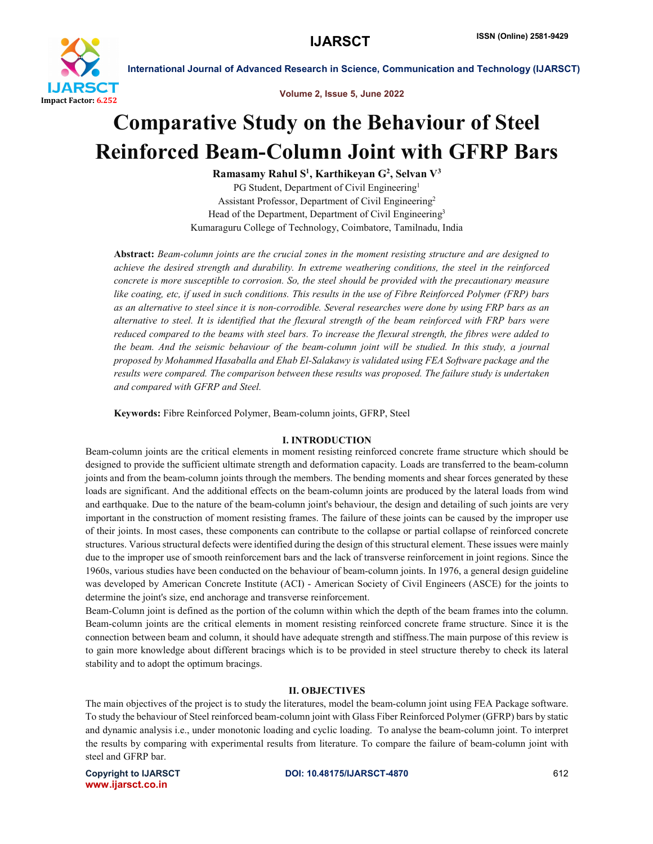

International Journal of Advanced Research in Science, Communication and Technology (IJARSCT)

Volume 2, Issue 5, June 2022

## Comparative Study on the Behaviour of Steel Reinforced Beam-Column Joint with GFRP Bars

Ramasamy Rahul S<sup>1</sup>, Karthikeyan G<sup>2</sup>, Selvan V<sup>3</sup> PG Student, Department of Civil Engineering<sup>1</sup> Assistant Professor, Department of Civil Engineering2 Head of the Department, Department of Civil Engineering<sup>3</sup> Kumaraguru College of Technology, Coimbatore, Tamilnadu, India

Abstract: *Beam-column joints are the crucial zones in the moment resisting structure and are designed to achieve the desired strength and durability. In extreme weathering conditions, the steel in the reinforced concrete is more susceptible to corrosion. So, the steel should be provided with the precautionary measure like coating, etc, if used in such conditions. This results in the use of Fibre Reinforced Polymer (FRP) bars as an alternative to steel since it is non-corrodible. Several researches were done by using FRP bars as an alternative to steel. It is identified that the flexural strength of the beam reinforced with FRP bars were reduced compared to the beams with steel bars. To increase the flexural strength, the fibres were added to the beam. And the seismic behaviour of the beam-column joint will be studied. In this study, a journal proposed by Mohammed Hasaballa and Ehab El-Salakawy is validated using FEA Software package and the results were compared. The comparison between these results was proposed. The failure study is undertaken and compared with GFRP and Steel.*

Keywords: Fibre Reinforced Polymer, Beam-column joints, GFRP, Steel

#### I. INTRODUCTION

Beam-column joints are the critical elements in moment resisting reinforced concrete frame structure which should be designed to provide the sufficient ultimate strength and deformation capacity. Loads are transferred to the beam-column joints and from the beam-column joints through the members. The bending moments and shear forces generated by these loads are significant. And the additional effects on the beam-column joints are produced by the lateral loads from wind and earthquake. Due to the nature of the beam-column joint's behaviour, the design and detailing of such joints are very important in the construction of moment resisting frames. The failure of these joints can be caused by the improper use of their joints. In most cases, these components can contribute to the collapse or partial collapse of reinforced concrete structures. Various structural defects were identified during the design of this structural element. These issues were mainly due to the improper use of smooth reinforcement bars and the lack of transverse reinforcement in joint regions. Since the 1960s, various studies have been conducted on the behaviour of beam-column joints. In 1976, a general design guideline was developed by American Concrete Institute (ACI) - American Society of Civil Engineers (ASCE) for the joints to determine the joint's size, end anchorage and transverse reinforcement.

Beam-Column joint is defined as the portion of the column within which the depth of the beam frames into the column. Beam-column joints are the critical elements in moment resisting reinforced concrete frame structure. Since it is the connection between beam and column, it should have adequate strength and stiffness.The main purpose of this review is to gain more knowledge about different bracings which is to be provided in steel structure thereby to check its lateral stability and to adopt the optimum bracings.

#### II. OBJECTIVES

The main objectives of the project is to study the literatures, model the beam-column joint using FEA Package software. To study the behaviour of Steel reinforced beam-column joint with Glass Fiber Reinforced Polymer (GFRP) bars by static and dynamic analysis i.e., under monotonic loading and cyclic loading. To analyse the beam-column joint. To interpret the results by comparing with experimental results from literature. To compare the failure of beam-column joint with steel and GFRP bar.

www.ijarsct.co.in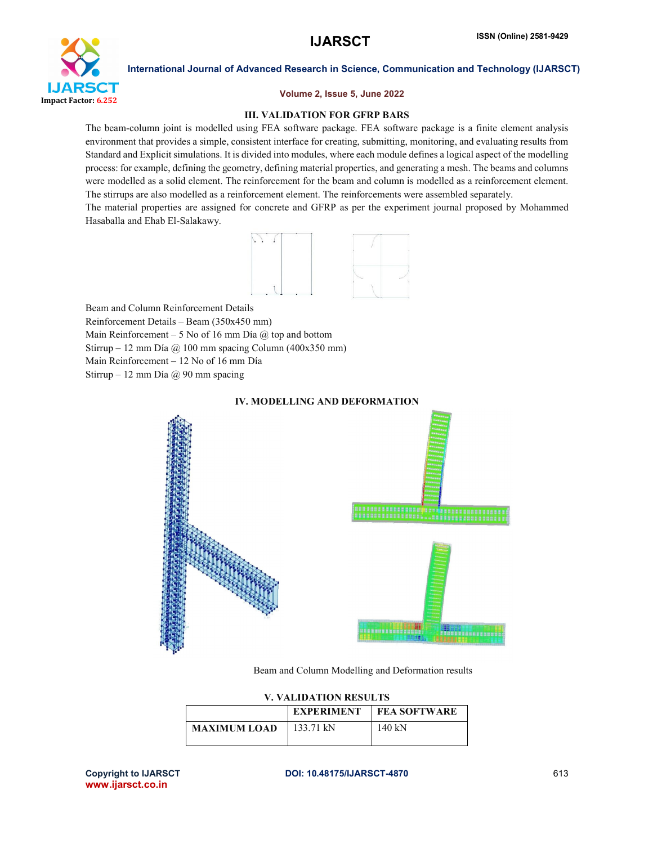

International Journal of Advanced Research in Science, Communication and Technology (IJARSCT)

#### Volume 2, Issue 5, June 2022

#### III. VALIDATION FOR GFRP BARS

The beam-column joint is modelled using FEA software package. FEA software package is a finite element analysis environment that provides a simple, consistent interface for creating, submitting, monitoring, and evaluating results from Standard and Explicit simulations. It is divided into modules, where each module defines a logical aspect of the modelling process: for example, defining the geometry, defining material properties, and generating a mesh. The beams and columns were modelled as a solid element. The reinforcement for the beam and column is modelled as a reinforcement element. The stirrups are also modelled as a reinforcement element. The reinforcements were assembled separately.

The material properties are assigned for concrete and GFRP as per the experiment journal proposed by Mohammed Hasaballa and Ehab El-Salakawy.



Beam and Column Reinforcement Details Reinforcement Details – Beam (350x450 mm) Main Reinforcement – 5 No of 16 mm Día  $\omega$  top and bottom Stirrup – 12 mm Día  $\omega$  100 mm spacing Column (400x350 mm) Main Reinforcement – 12 No of 16 mm Día Stirrup – 12 mm Día @ 90 mm spacing

## IV. MODELLING AND DEFORMATION



Beam and Column Modelling and Deformation results

| V. VALIDATION RESULTS |                   |                     |
|-----------------------|-------------------|---------------------|
|                       | <b>EXPERIMENT</b> | <b>FEA SOFTWARE</b> |
| <b>MAXIMUM LOAD</b>   | 133.71 kN         | 140 kN              |

www.ijarsct.co.in

#### Copyright to IJARSCT DOI: 10.48175/IJARSCT-4870 613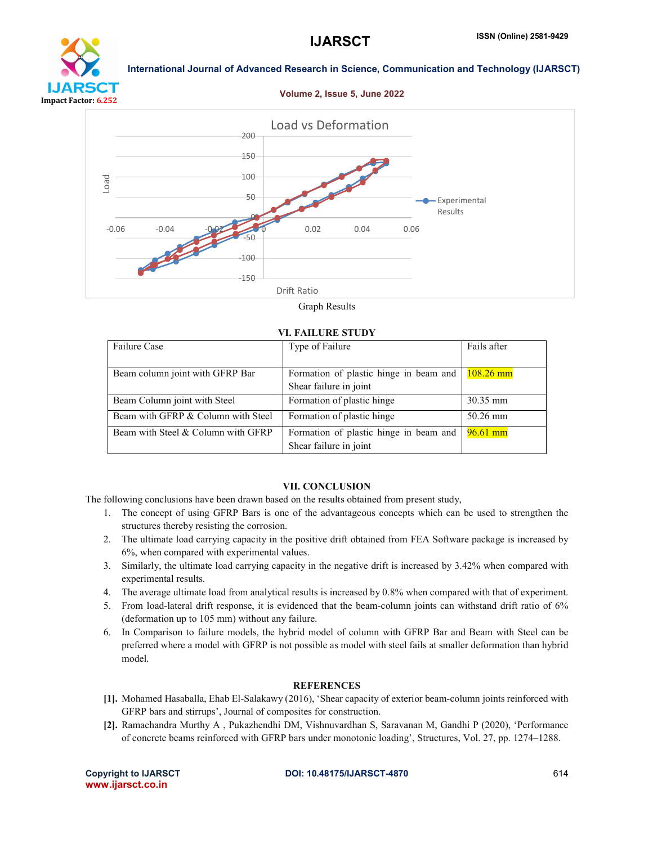

# **IJARSCT** Impact Factor: 6.252

International Journal of Advanced Research in Science, Communication and Technology (IJARSCT)

Volume 2, Issue 5, June 2022



Graph Results

#### VI. FAILURE STUDY

| <b>Failure Case</b>                | Type of Failure                                                  | Fails after |
|------------------------------------|------------------------------------------------------------------|-------------|
| Beam column joint with GFRP Bar    | Formation of plastic hinge in beam and<br>Shear failure in joint | $108.26$ mm |
| Beam Column joint with Steel       | Formation of plastic hinge                                       | 30.35 mm    |
| Beam with GFRP & Column with Steel | Formation of plastic hinge                                       | 50.26 mm    |
| Beam with Steel & Column with GFRP | Formation of plastic hinge in beam and<br>Shear failure in joint | $96.61$ mm  |

#### VII. CONCLUSION

The following conclusions have been drawn based on the results obtained from present study,

- 1. The concept of using GFRP Bars is one of the advantageous concepts which can be used to strengthen the structures thereby resisting the corrosion.
- 2. The ultimate load carrying capacity in the positive drift obtained from FEA Software package is increased by 6%, when compared with experimental values.
- 3. Similarly, the ultimate load carrying capacity in the negative drift is increased by 3.42% when compared with experimental results.
- 4. The average ultimate load from analytical results is increased by 0.8% when compared with that of experiment.
- 5. From load-lateral drift response, it is evidenced that the beam-column joints can withstand drift ratio of 6% (deformation up to 105 mm) without any failure.
- 6. In Comparison to failure models, the hybrid model of column with GFRP Bar and Beam with Steel can be preferred where a model with GFRP is not possible as model with steel fails at smaller deformation than hybrid model.

### **REFERENCES**

- [1]. Mohamed Hasaballa, Ehab El-Salakawy (2016), 'Shear capacity of exterior beam-column joints reinforced with GFRP bars and stirrups', Journal of composites for construction.
- [2]. Ramachandra Murthy A , Pukazhendhi DM, Vishnuvardhan S, Saravanan M, Gandhi P (2020), 'Performance of concrete beams reinforced with GFRP bars under monotonic loading', Structures, Vol. 27, pp. 1274–1288.

www.ijarsct.co.in

Copyright to IJARSCT DOI: 10.48175/IJARSCT-4870 614